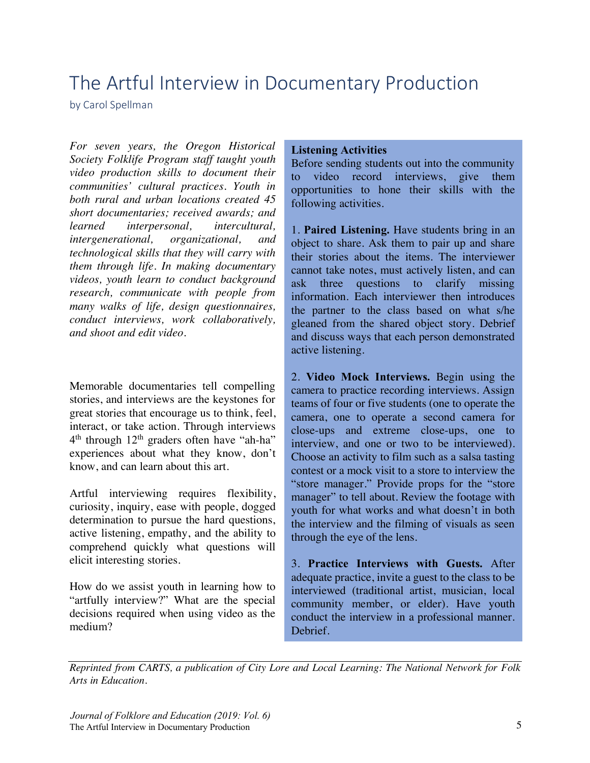# The Artful Interview in Documentary Production

by Carol Spellman

*For seven years, the Oregon Historical Society Folklife Program staff taught youth video production skills to document their communities' cultural practices. Youth in both rural and urban locations created 45 short documentaries; received awards; and learned interpersonal, intercultural, intergenerational, organizational, and technological skills that they will carry with them through life. In making documentary videos, youth learn to conduct background research, communicate with people from many walks of life, design questionnaires, conduct interviews, work collaboratively, and shoot and edit video.*

Memorable documentaries tell compelling stories, and interviews are the keystones for great stories that encourage us to think, feel, interact, or take action. Through interviews  $4<sup>th</sup>$  through  $12<sup>th</sup>$  graders often have "ah-ha" experiences about what they know, don't know, and can learn about this art.

Artful interviewing requires flexibility, curiosity, inquiry, ease with people, dogged determination to pursue the hard questions, active listening, empathy, and the ability to comprehend quickly what questions will elicit interesting stories.

How do we assist youth in learning how to "artfully interview?" What are the special decisions required when using video as the medium?

#### **Listening Activities**

Before sending students out into the community to video record interviews, give them opportunities to hone their skills with the following activities.

1. **Paired Listening.** Have students bring in an object to share. Ask them to pair up and share their stories about the items. The interviewer cannot take notes, must actively listen, and can ask three questions to clarify missing information. Each interviewer then introduces the partner to the class based on what s/he gleaned from the shared object story. Debrief and discuss ways that each person demonstrated active listening.

2. **Video Mock Interviews.** Begin using the camera to practice recording interviews. Assign teams of four or five students (one to operate the camera, one to operate a second camera for close-ups and extreme close-ups, one to interview, and one or two to be interviewed). Choose an activity to film such as a salsa tasting contest or a mock visit to a store to interview the "store manager." Provide props for the "store manager" to tell about. Review the footage with youth for what works and what doesn't in both the interview and the filming of visuals as seen through the eye of the lens.

3. **Practice Interviews with Guests.** After adequate practice, invite a guest to the class to be interviewed (traditional artist, musician, local community member, or elder). Have youth conduct the interview in a professional manner. Debrief.

*Reprinted from CARTS, a publication of City Lore and Local Learning: The National Network for Folk Arts in Education.*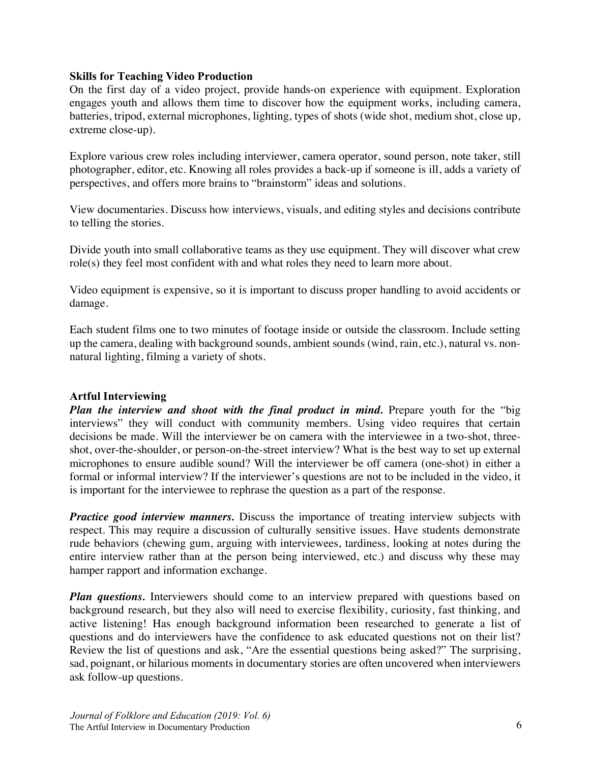### **Skills for Teaching Video Production**

On the first day of a video project, provide hands-on experience with equipment. Exploration engages youth and allows them time to discover how the equipment works, including camera, batteries, tripod, external microphones, lighting, types of shots (wide shot, medium shot, close up, extreme close-up).

Explore various crew roles including interviewer, camera operator, sound person, note taker, still photographer, editor, etc. Knowing all roles provides a back-up if someone is ill, adds a variety of perspectives, and offers more brains to "brainstorm" ideas and solutions.

View documentaries. Discuss how interviews, visuals, and editing styles and decisions contribute to telling the stories.

Divide youth into small collaborative teams as they use equipment. They will discover what crew role(s) they feel most confident with and what roles they need to learn more about.

Video equipment is expensive, so it is important to discuss proper handling to avoid accidents or damage.

Each student films one to two minutes of footage inside or outside the classroom. Include setting up the camera, dealing with background sounds, ambient sounds (wind, rain, etc.), natural vs. nonnatural lighting, filming a variety of shots.

## **Artful Interviewing**

*Plan the interview and shoot with the final product in mind.* Prepare youth for the "big interviews" they will conduct with community members. Using video requires that certain decisions be made. Will the interviewer be on camera with the interviewee in a two-shot, threeshot, over-the-shoulder, or person-on-the-street interview? What is the best way to set up external microphones to ensure audible sound? Will the interviewer be off camera (one-shot) in either a formal or informal interview? If the interviewer's questions are not to be included in the video, it is important for the interviewee to rephrase the question as a part of the response.

*Practice good interview manners.* Discuss the importance of treating interview subjects with respect. This may require a discussion of culturally sensitive issues. Have students demonstrate rude behaviors (chewing gum, arguing with interviewees, tardiness, looking at notes during the entire interview rather than at the person being interviewed, etc.) and discuss why these may hamper rapport and information exchange.

**Plan questions.** Interviewers should come to an interview prepared with questions based on background research, but they also will need to exercise flexibility, curiosity, fast thinking, and active listening! Has enough background information been researched to generate a list of questions and do interviewers have the confidence to ask educated questions not on their list? Review the list of questions and ask, "Are the essential questions being asked?" The surprising, sad, poignant, or hilarious moments in documentary stories are often uncovered when interviewers ask follow-up questions.